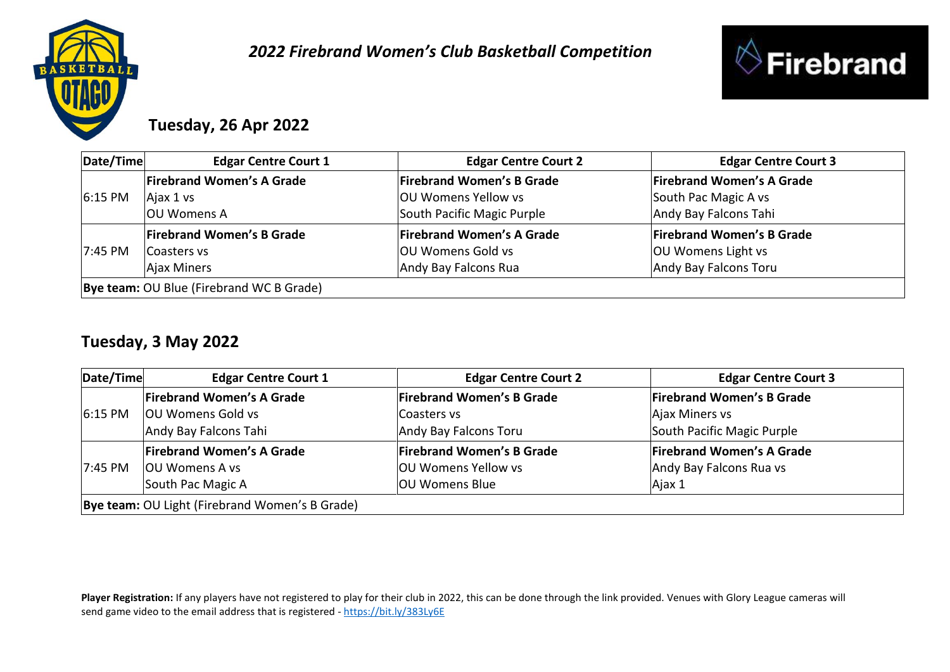

## *2022 Firebrand Women's Club Basketball Competition*



# **Tuesday, 26 Apr 2022**

| Date/Time                                | <b>Edgar Centre Court 1</b>      | <b>Edgar Centre Court 2</b>      | <b>Edgar Centre Court 3</b>      |
|------------------------------------------|----------------------------------|----------------------------------|----------------------------------|
| $6:15$ PM                                | <b>Firebrand Women's A Grade</b> | <b>Firebrand Women's B Grade</b> | <b>Firebrand Women's A Grade</b> |
|                                          | Ajax 1 vs                        | OU Womens Yellow vs              | South Pac Magic A vs             |
|                                          | <b>OU Womens A</b>               | South Pacific Magic Purple       | Andy Bay Falcons Tahi            |
|                                          | <b>Firebrand Women's B Grade</b> | <b>Firebrand Women's A Grade</b> | <b>Firebrand Women's B Grade</b> |
| $17:45 \text{ PM}$                       | Coasters vs                      | <b>OU Womens Gold vs</b>         | <b>OU Womens Light vs</b>        |
|                                          | Ajax Miners                      | Andy Bay Falcons Rua             | Andy Bay Falcons Toru            |
| Bye team: OU Blue (Firebrand WC B Grade) |                                  |                                  |                                  |

#### **Tuesday, 3 May 2022**

| Date/Time                                      | <b>Edgar Centre Court 1</b>      | <b>Edgar Centre Court 2</b>      | <b>Edgar Centre Court 3</b>      |
|------------------------------------------------|----------------------------------|----------------------------------|----------------------------------|
| 6:15 PM                                        | <b>Firebrand Women's A Grade</b> | <b>Firebrand Women's B Grade</b> | <b>Firebrand Women's B Grade</b> |
|                                                | <b>OU Womens Gold vs</b>         | Coasters vs                      | Ajax Miners vs                   |
|                                                | Andy Bay Falcons Tahi            | Andy Bay Falcons Toru            | South Pacific Magic Purple       |
| 7:45 PM                                        | <b>Firebrand Women's A Grade</b> | <b>Firebrand Women's B Grade</b> | <b>Firebrand Women's A Grade</b> |
|                                                | <b>OU Womens A vs</b>            | <b>OU Womens Yellow vs</b>       | Andy Bay Falcons Rua vs          |
|                                                | South Pac Magic A                | <b>OU Womens Blue</b>            | Ajax 1                           |
| Bye team: OU Light (Firebrand Women's B Grade) |                                  |                                  |                                  |

**Player Registration:** If any players have not registered to play for their club in 2022, this can be done through the link provided. Venues with Glory League cameras will send game video to the email address that is registered - <https://bit.ly/383Ly6E>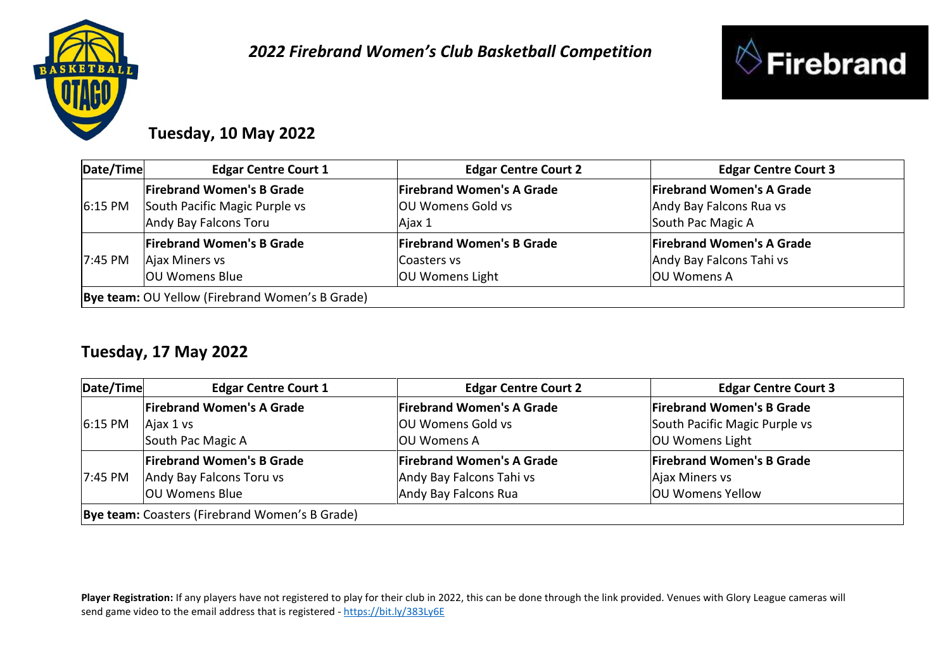



# **Tuesday, 10 May 2022**

| Date/Time                                       | <b>Edgar Centre Court 1</b>      | <b>Edgar Centre Court 2</b>      | <b>Edgar Centre Court 3</b>      |
|-------------------------------------------------|----------------------------------|----------------------------------|----------------------------------|
| $6:15$ PM                                       | <b>Firebrand Women's B Grade</b> | <b>Firebrand Women's A Grade</b> | <b>Firebrand Women's A Grade</b> |
|                                                 | South Pacific Magic Purple vs    | <b>OU Womens Gold vs</b>         | Andy Bay Falcons Rua vs          |
|                                                 | Andy Bay Falcons Toru            | Ajax 1                           | South Pac Magic A                |
|                                                 | <b>Firebrand Women's B Grade</b> | <b>Firebrand Women's B Grade</b> | <b>Firebrand Women's A Grade</b> |
| 7:45 PM                                         | Ajax Miners vs                   | Coasters vs                      | Andy Bay Falcons Tahi vs         |
|                                                 | OU Womens Blue                   | <b>OU Womens Light</b>           | <b>OU Womens A</b>               |
| Bye team: OU Yellow (Firebrand Women's B Grade) |                                  |                                  |                                  |

## **Tuesday, 17 May 2022**

| Date/Time                                      | <b>Edgar Centre Court 1</b>      | <b>Edgar Centre Court 2</b>      | <b>Edgar Centre Court 3</b>      |
|------------------------------------------------|----------------------------------|----------------------------------|----------------------------------|
| $6:15$ PM                                      | <b>Firebrand Women's A Grade</b> | <b>Firebrand Women's A Grade</b> | <b>Firebrand Women's B Grade</b> |
|                                                | Ajax 1 vs                        | <b>OU Womens Gold vs</b>         | South Pacific Magic Purple vs    |
|                                                | South Pac Magic A                | <b>IOU Womens A</b>              | <b>OU Womens Light</b>           |
| 7:45 PM                                        | <b>Firebrand Women's B Grade</b> | <b>Firebrand Women's A Grade</b> | <b>Firebrand Women's B Grade</b> |
|                                                | Andy Bay Falcons Toru vs         | Andy Bay Falcons Tahi vs         | Ajax Miners vs                   |
|                                                | <b>OU Womens Blue</b>            | Andy Bay Falcons Rua             | <b>OU Womens Yellow</b>          |
| Bye team: Coasters (Firebrand Women's B Grade) |                                  |                                  |                                  |

**Player Registration:** If any players have not registered to play for their club in 2022, this can be done through the link provided. Venues with Glory League cameras will send game video to the email address that is registered - <https://bit.ly/383Ly6E>